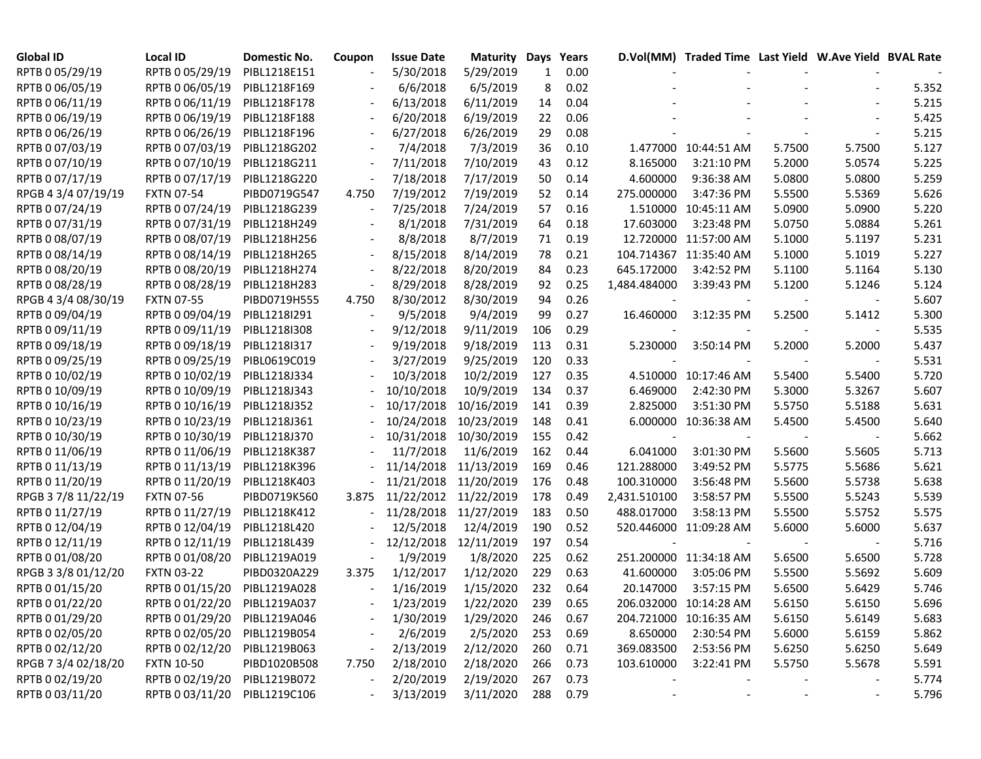| Global ID           | Local ID                     | Domestic No. | Coupon | <b>Issue Date</b> | <b>Maturity Days</b> |     | Years    |              | D.Vol(MM) Traded Time Last Yield W.Ave Yield BVAL Rate |                          |        |       |
|---------------------|------------------------------|--------------|--------|-------------------|----------------------|-----|----------|--------------|--------------------------------------------------------|--------------------------|--------|-------|
| RPTB 0 05/29/19     | RPTB 0 05/29/19              | PIBL1218E151 |        | 5/30/2018         | 5/29/2019            | 1   | 0.00     |              |                                                        |                          |        |       |
| RPTB 0 06/05/19     | RPTB 0 06/05/19              | PIBL1218F169 |        | 6/6/2018          | 6/5/2019             | 8   | 0.02     |              |                                                        |                          |        | 5.352 |
| RPTB 0 06/11/19     | RPTB 0 06/11/19              | PIBL1218F178 |        | 6/13/2018         | 6/11/2019            | 14  | 0.04     |              |                                                        |                          |        | 5.215 |
| RPTB 0 06/19/19     | RPTB 0 06/19/19              | PIBL1218F188 |        | 6/20/2018         | 6/19/2019            | 22  | 0.06     |              |                                                        |                          |        | 5.425 |
| RPTB 0 06/26/19     | RPTB 0 06/26/19              | PIBL1218F196 |        | 6/27/2018         | 6/26/2019            | 29  | 0.08     |              |                                                        |                          |        | 5.215 |
| RPTB 0 07/03/19     | RPTB 0 07/03/19              | PIBL1218G202 |        | 7/4/2018          | 7/3/2019             | 36  | 0.10     |              | 1.477000 10:44:51 AM                                   | 5.7500                   | 5.7500 | 5.127 |
| RPTB 0 07/10/19     | RPTB 0 07/10/19              | PIBL1218G211 |        | 7/11/2018         | 7/10/2019            | 43  | 0.12     | 8.165000     | 3:21:10 PM                                             | 5.2000                   | 5.0574 | 5.225 |
| RPTB 0 07/17/19     | RPTB 0 07/17/19              | PIBL1218G220 |        | 7/18/2018         | 7/17/2019            | 50  | 0.14     | 4.600000     | 9:36:38 AM                                             | 5.0800                   | 5.0800 | 5.259 |
| RPGB 4 3/4 07/19/19 | <b>FXTN 07-54</b>            | PIBD0719G547 | 4.750  | 7/19/2012         | 7/19/2019            | 52  | 0.14     | 275.000000   | 3:47:36 PM                                             | 5.5500                   | 5.5369 | 5.626 |
| RPTB 0 07/24/19     | RPTB 0 07/24/19              | PIBL1218G239 |        | 7/25/2018         | 7/24/2019            | 57  | 0.16     |              | 1.510000 10:45:11 AM                                   | 5.0900                   | 5.0900 | 5.220 |
| RPTB 0 07/31/19     | RPTB 0 07/31/19              | PIBL1218H249 |        | 8/1/2018          | 7/31/2019            | 64  | 0.18     | 17.603000    | 3:23:48 PM                                             | 5.0750                   | 5.0884 | 5.261 |
| RPTB 0 08/07/19     | RPTB 0 08/07/19              | PIBL1218H256 |        | 8/8/2018          | 8/7/2019             | 71  | 0.19     |              | 12.720000 11:57:00 AM                                  | 5.1000                   | 5.1197 | 5.231 |
| RPTB 0 08/14/19     | RPTB 0 08/14/19              | PIBL1218H265 |        | 8/15/2018         | 8/14/2019            | 78  | 0.21     |              | 104.714367 11:35:40 AM                                 | 5.1000                   | 5.1019 | 5.227 |
| RPTB 0 08/20/19     | RPTB 0 08/20/19              | PIBL1218H274 |        | 8/22/2018         | 8/20/2019            | 84  | 0.23     | 645.172000   | 3:42:52 PM                                             | 5.1100                   | 5.1164 | 5.130 |
| RPTB 0 08/28/19     | RPTB 0 08/28/19              | PIBL1218H283 |        | 8/29/2018         | 8/28/2019            | 92  | 0.25     | 1,484.484000 | 3:39:43 PM                                             | 5.1200                   | 5.1246 | 5.124 |
| RPGB 4 3/4 08/30/19 | <b>FXTN 07-55</b>            | PIBD0719H555 | 4.750  | 8/30/2012         | 8/30/2019            | 94  | 0.26     |              |                                                        |                          |        | 5.607 |
| RPTB 0 09/04/19     | RPTB 0 09/04/19              | PIBL1218I291 |        | 9/5/2018          | 9/4/2019             | 99  | 0.27     | 16.460000    | 3:12:35 PM                                             | 5.2500                   | 5.1412 | 5.300 |
| RPTB 0 09/11/19     | RPTB 0 09/11/19              | PIBL1218I308 |        | 9/12/2018         | 9/11/2019            | 106 | 0.29     |              |                                                        |                          |        | 5.535 |
| RPTB 0 09/18/19     | RPTB 0 09/18/19              | PIBL1218I317 |        | 9/19/2018         | 9/18/2019            | 113 | 0.31     | 5.230000     | 3:50:14 PM                                             | 5.2000                   | 5.2000 | 5.437 |
| RPTB 0 09/25/19     | RPTB 0 09/25/19              | PIBL0619C019 |        | 3/27/2019         | 9/25/2019            | 120 | 0.33     |              |                                                        |                          |        | 5.531 |
| RPTB 0 10/02/19     | RPTB 0 10/02/19              | PIBL1218J334 |        | 10/3/2018         | 10/2/2019            | 127 | 0.35     |              | 4.510000 10:17:46 AM                                   | 5.5400                   | 5.5400 | 5.720 |
| RPTB 0 10/09/19     | RPTB 0 10/09/19              | PIBL1218J343 |        | 10/10/2018        | 10/9/2019            | 134 | 0.37     | 6.469000     | 2:42:30 PM                                             | 5.3000                   | 5.3267 | 5.607 |
| RPTB 0 10/16/19     | RPTB 0 10/16/19              | PIBL1218J352 |        | 10/17/2018        | 10/16/2019           | 141 | 0.39     | 2.825000     | 3:51:30 PM                                             | 5.5750                   | 5.5188 | 5.631 |
| RPTB 0 10/23/19     | RPTB 0 10/23/19              | PIBL1218J361 |        | 10/24/2018        | 10/23/2019           | 148 | 0.41     |              | 6.000000 10:36:38 AM                                   | 5.4500                   | 5.4500 | 5.640 |
| RPTB 0 10/30/19     | RPTB 0 10/30/19              | PIBL1218J370 |        | 10/31/2018        | 10/30/2019           | 155 | 0.42     |              |                                                        |                          |        | 5.662 |
| RPTB 0 11/06/19     | RPTB 0 11/06/19              | PIBL1218K387 |        | 11/7/2018         | 11/6/2019            | 162 | 0.44     | 6.041000     | 3:01:30 PM                                             | 5.5600                   | 5.5605 | 5.713 |
| RPTB 0 11/13/19     | RPTB 0 11/13/19              | PIBL1218K396 |        | 11/14/2018        | 11/13/2019           | 169 | 0.46     | 121.288000   | 3:49:52 PM                                             | 5.5775                   | 5.5686 | 5.621 |
| RPTB 0 11/20/19     | RPTB 0 11/20/19              | PIBL1218K403 |        | 11/21/2018        | 11/20/2019           | 176 | 0.48     | 100.310000   | 3:56:48 PM                                             | 5.5600                   | 5.5738 | 5.638 |
| RPGB 37/8 11/22/19  | <b>FXTN 07-56</b>            | PIBD0719K560 | 3.875  | 11/22/2012        | 11/22/2019           | 178 | 0.49     | 2,431.510100 | 3:58:57 PM                                             | 5.5500                   | 5.5243 | 5.539 |
| RPTB 0 11/27/19     | RPTB 0 11/27/19              | PIBL1218K412 |        | 11/28/2018        | 11/27/2019           | 183 | 0.50     | 488.017000   | 3:58:13 PM                                             | 5.5500                   | 5.5752 | 5.575 |
| RPTB 0 12/04/19     | RPTB 0 12/04/19              | PIBL1218L420 |        | 12/5/2018         | 12/4/2019            | 190 | 0.52     |              | 520.446000 11:09:28 AM                                 | 5.6000                   | 5.6000 | 5.637 |
| RPTB 0 12/11/19     | RPTB 0 12/11/19              | PIBL1218L439 |        | 12/12/2018        | 12/11/2019           | 197 | 0.54     |              |                                                        |                          |        | 5.716 |
| RPTB 0 01/08/20     | RPTB 0 01/08/20              | PIBL1219A019 |        | 1/9/2019          | 1/8/2020             | 225 | 0.62     |              | 251.200000 11:34:18 AM                                 | 5.6500                   | 5.6500 | 5.728 |
| RPGB 3 3/8 01/12/20 | <b>FXTN 03-22</b>            | PIBD0320A229 | 3.375  | 1/12/2017         | 1/12/2020            | 229 | 0.63     | 41.600000    | 3:05:06 PM                                             | 5.5500                   | 5.5692 | 5.609 |
| RPTB 0 01/15/20     | RPTB 0 01/15/20              | PIBL1219A028 |        | 1/16/2019         | 1/15/2020            | 232 | 0.64     | 20.147000    | 3:57:15 PM                                             | 5.6500                   | 5.6429 | 5.746 |
| RPTB 0 01/22/20     | RPTB 0 01/22/20              | PIBL1219A037 |        | 1/23/2019         | 1/22/2020            | 239 | 0.65     |              | 206.032000 10:14:28 AM                                 | 5.6150                   | 5.6150 | 5.696 |
| RPTB 0 01/29/20     | RPTB 0 01/29/20 PIBL1219A046 |              |        | 1/30/2019         | 1/29/2020            | 246 | 0.67     |              | 204.721000 10:16:35 AM                                 | 5.6150                   | 5.6149 | 5.683 |
| RPTB 0 02/05/20     | RPTB 0 02/05/20              | PIBL1219B054 |        | 2/6/2019          | 2/5/2020             | 253 | 0.69     | 8.650000     | 2:30:54 PM                                             | 5.6000                   | 5.6159 | 5.862 |
| RPTB 0 02/12/20     | RPTB 0 02/12/20              | PIBL1219B063 |        | 2/13/2019         | 2/12/2020            | 260 | 0.71     | 369.083500   | 2:53:56 PM                                             | 5.6250                   | 5.6250 | 5.649 |
| RPGB 7 3/4 02/18/20 | <b>FXTN 10-50</b>            | PIBD1020B508 | 7.750  | 2/18/2010         | 2/18/2020            | 266 | 0.73     | 103.610000   | 3:22:41 PM                                             | 5.5750                   | 5.5678 | 5.591 |
| RPTB 0 02/19/20     | RPTB 0 02/19/20              | PIBL1219B072 |        | 2/20/2019         | 2/19/2020            | 267 | 0.73     |              |                                                        |                          |        | 5.774 |
| RPTB 0 03/11/20     | RPTB 0 03/11/20 PIBL1219C106 |              |        | 3/13/2019         | 3/11/2020            |     | 288 0.79 |              |                                                        | $\overline{\phantom{a}}$ |        | 5.796 |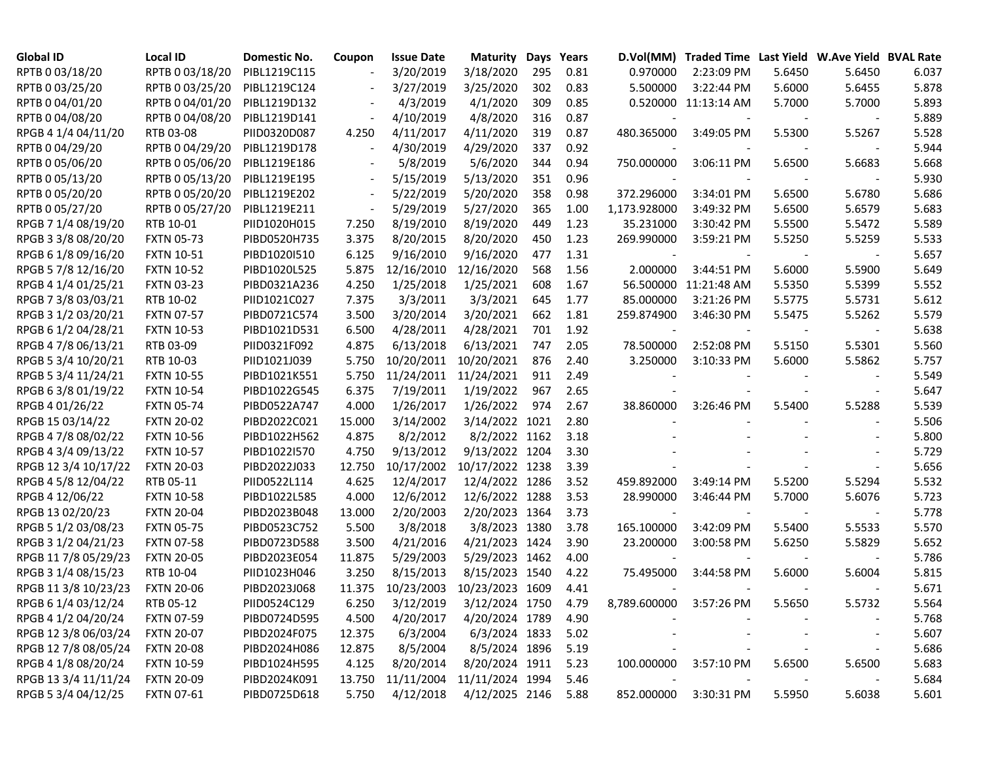| <b>Global ID</b>     | <b>Local ID</b>   | Domestic No. | Coupon | <b>Issue Date</b> | Maturity        | Days | Years | D.Vol(MM)    | Traded Time Last Yield W.Ave Yield BVAL Rate |        |                          |       |
|----------------------|-------------------|--------------|--------|-------------------|-----------------|------|-------|--------------|----------------------------------------------|--------|--------------------------|-------|
| RPTB 0 03/18/20      | RPTB 0 03/18/20   | PIBL1219C115 |        | 3/20/2019         | 3/18/2020       | 295  | 0.81  | 0.970000     | 2:23:09 PM                                   | 5.6450 | 5.6450                   | 6.037 |
| RPTB 0 03/25/20      | RPTB 0 03/25/20   | PIBL1219C124 |        | 3/27/2019         | 3/25/2020       | 302  | 0.83  | 5.500000     | 3:22:44 PM                                   | 5.6000 | 5.6455                   | 5.878 |
| RPTB 0 04/01/20      | RPTB 0 04/01/20   | PIBL1219D132 |        | 4/3/2019          | 4/1/2020        | 309  | 0.85  |              | 0.520000 11:13:14 AM                         | 5.7000 | 5.7000                   | 5.893 |
| RPTB 0 04/08/20      | RPTB 0 04/08/20   | PIBL1219D141 |        | 4/10/2019         | 4/8/2020        | 316  | 0.87  |              |                                              |        |                          | 5.889 |
| RPGB 4 1/4 04/11/20  | RTB 03-08         | PIID0320D087 | 4.250  | 4/11/2017         | 4/11/2020       | 319  | 0.87  | 480.365000   | 3:49:05 PM                                   | 5.5300 | 5.5267                   | 5.528 |
| RPTB 0 04/29/20      | RPTB 0 04/29/20   | PIBL1219D178 |        | 4/30/2019         | 4/29/2020       | 337  | 0.92  |              |                                              |        |                          | 5.944 |
| RPTB 0 05/06/20      | RPTB 0 05/06/20   | PIBL1219E186 |        | 5/8/2019          | 5/6/2020        | 344  | 0.94  | 750.000000   | 3:06:11 PM                                   | 5.6500 | 5.6683                   | 5.668 |
| RPTB 0 05/13/20      | RPTB 0 05/13/20   | PIBL1219E195 |        | 5/15/2019         | 5/13/2020       | 351  | 0.96  |              |                                              |        | $\blacksquare$           | 5.930 |
| RPTB 0 05/20/20      | RPTB 0 05/20/20   | PIBL1219E202 |        | 5/22/2019         | 5/20/2020       | 358  | 0.98  | 372.296000   | 3:34:01 PM                                   | 5.6500 | 5.6780                   | 5.686 |
| RPTB 0 05/27/20      | RPTB 0 05/27/20   | PIBL1219E211 |        | 5/29/2019         | 5/27/2020       | 365  | 1.00  | 1,173.928000 | 3:49:32 PM                                   | 5.6500 | 5.6579                   | 5.683 |
| RPGB 7 1/4 08/19/20  | RTB 10-01         | PIID1020H015 | 7.250  | 8/19/2010         | 8/19/2020       | 449  | 1.23  | 35.231000    | 3:30:42 PM                                   | 5.5500 | 5.5472                   | 5.589 |
| RPGB 3 3/8 08/20/20  | <b>FXTN 05-73</b> | PIBD0520H735 | 3.375  | 8/20/2015         | 8/20/2020       | 450  | 1.23  | 269.990000   | 3:59:21 PM                                   | 5.5250 | 5.5259                   | 5.533 |
| RPGB 6 1/8 09/16/20  | <b>FXTN 10-51</b> | PIBD1020I510 | 6.125  | 9/16/2010         | 9/16/2020       | 477  | 1.31  |              |                                              |        |                          | 5.657 |
| RPGB 5 7/8 12/16/20  | <b>FXTN 10-52</b> | PIBD1020L525 | 5.875  | 12/16/2010        | 12/16/2020      | 568  | 1.56  | 2.000000     | 3:44:51 PM                                   | 5.6000 | 5.5900                   | 5.649 |
| RPGB 4 1/4 01/25/21  | <b>FXTN 03-23</b> | PIBD0321A236 | 4.250  | 1/25/2018         | 1/25/2021       | 608  | 1.67  |              | 56.500000 11:21:48 AM                        | 5.5350 | 5.5399                   | 5.552 |
| RPGB 7 3/8 03/03/21  | RTB 10-02         | PIID1021C027 | 7.375  | 3/3/2011          | 3/3/2021        | 645  | 1.77  | 85.000000    | 3:21:26 PM                                   | 5.5775 | 5.5731                   | 5.612 |
| RPGB 3 1/2 03/20/21  | <b>FXTN 07-57</b> | PIBD0721C574 | 3.500  | 3/20/2014         | 3/20/2021       | 662  | 1.81  | 259.874900   | 3:46:30 PM                                   | 5.5475 | 5.5262                   | 5.579 |
| RPGB 6 1/2 04/28/21  | <b>FXTN 10-53</b> | PIBD1021D531 | 6.500  | 4/28/2011         | 4/28/2021       | 701  | 1.92  |              |                                              |        |                          | 5.638 |
| RPGB 4 7/8 06/13/21  | RTB 03-09         | PIID0321F092 | 4.875  | 6/13/2018         | 6/13/2021       | 747  | 2.05  | 78.500000    | 2:52:08 PM                                   | 5.5150 | 5.5301                   | 5.560 |
| RPGB 5 3/4 10/20/21  | RTB 10-03         | PIID1021J039 | 5.750  | 10/20/2011        | 10/20/2021      | 876  | 2.40  | 3.250000     | 3:10:33 PM                                   | 5.6000 | 5.5862                   | 5.757 |
| RPGB 5 3/4 11/24/21  | <b>FXTN 10-55</b> | PIBD1021K551 | 5.750  | 11/24/2011        | 11/24/2021      | 911  | 2.49  |              |                                              |        |                          | 5.549 |
| RPGB 63/8 01/19/22   | <b>FXTN 10-54</b> | PIBD1022G545 | 6.375  | 7/19/2011         | 1/19/2022       | 967  | 2.65  |              |                                              |        | $\overline{\phantom{a}}$ | 5.647 |
| RPGB 4 01/26/22      | <b>FXTN 05-74</b> | PIBD0522A747 | 4.000  | 1/26/2017         | 1/26/2022       | 974  | 2.67  | 38.860000    | 3:26:46 PM                                   | 5.5400 | 5.5288                   | 5.539 |
| RPGB 15 03/14/22     | <b>FXTN 20-02</b> | PIBD2022C021 | 15.000 | 3/14/2002         | 3/14/2022 1021  |      | 2.80  |              |                                              |        |                          | 5.506 |
| RPGB 4 7/8 08/02/22  | <b>FXTN 10-56</b> | PIBD1022H562 | 4.875  | 8/2/2012          | 8/2/2022 1162   |      | 3.18  |              |                                              |        |                          | 5.800 |
| RPGB 4 3/4 09/13/22  | <b>FXTN 10-57</b> | PIBD1022I570 | 4.750  | 9/13/2012         | 9/13/2022 1204  |      | 3.30  |              |                                              |        |                          | 5.729 |
| RPGB 12 3/4 10/17/22 | <b>FXTN 20-03</b> | PIBD2022J033 | 12.750 | 10/17/2002        | 10/17/2022 1238 |      | 3.39  |              |                                              |        |                          | 5.656 |
| RPGB 4 5/8 12/04/22  | RTB 05-11         | PIID0522L114 | 4.625  | 12/4/2017         | 12/4/2022 1286  |      | 3.52  | 459.892000   | 3:49:14 PM                                   | 5.5200 | 5.5294                   | 5.532 |
| RPGB 4 12/06/22      | <b>FXTN 10-58</b> | PIBD1022L585 | 4.000  | 12/6/2012         | 12/6/2022 1288  |      | 3.53  | 28.990000    | 3:46:44 PM                                   | 5.7000 | 5.6076                   | 5.723 |
| RPGB 13 02/20/23     | <b>FXTN 20-04</b> | PIBD2023B048 | 13.000 | 2/20/2003         | 2/20/2023 1364  |      | 3.73  |              |                                              |        |                          | 5.778 |
| RPGB 5 1/2 03/08/23  | <b>FXTN 05-75</b> | PIBD0523C752 | 5.500  | 3/8/2018          | 3/8/2023 1380   |      | 3.78  | 165.100000   | 3:42:09 PM                                   | 5.5400 | 5.5533                   | 5.570 |
| RPGB 3 1/2 04/21/23  | <b>FXTN 07-58</b> | PIBD0723D588 | 3.500  | 4/21/2016         | 4/21/2023 1424  |      | 3.90  | 23.200000    | 3:00:58 PM                                   | 5.6250 | 5.5829                   | 5.652 |
| RPGB 11 7/8 05/29/23 | <b>FXTN 20-05</b> | PIBD2023E054 | 11.875 | 5/29/2003         | 5/29/2023 1462  |      | 4.00  |              |                                              |        | $\blacksquare$           | 5.786 |
| RPGB 3 1/4 08/15/23  | RTB 10-04         | PIID1023H046 | 3.250  | 8/15/2013         | 8/15/2023 1540  |      | 4.22  | 75.495000    | 3:44:58 PM                                   | 5.6000 | 5.6004                   | 5.815 |
| RPGB 11 3/8 10/23/23 | <b>FXTN 20-06</b> | PIBD2023J068 | 11.375 | 10/23/2003        | 10/23/2023 1609 |      | 4.41  |              |                                              |        | $\blacksquare$           | 5.671 |
| RPGB 6 1/4 03/12/24  | RTB 05-12         | PIID0524C129 | 6.250  | 3/12/2019         | 3/12/2024 1750  |      | 4.79  | 8,789.600000 | 3:57:26 PM                                   | 5.5650 | 5.5732                   | 5.564 |
| RPGB 4 1/2 04/20/24  | <b>FXTN 07-59</b> | PIBD0724D595 | 4.500  | 4/20/2017         | 4/20/2024 1789  |      | 4.90  |              |                                              |        |                          | 5.768 |
| RPGB 12 3/8 06/03/24 | <b>FXTN 20-07</b> | PIBD2024F075 | 12.375 | 6/3/2004          | 6/3/2024 1833   |      | 5.02  |              |                                              |        |                          | 5.607 |
| RPGB 12 7/8 08/05/24 | <b>FXTN 20-08</b> | PIBD2024H086 | 12.875 | 8/5/2004          | 8/5/2024 1896   |      | 5.19  |              |                                              |        |                          | 5.686 |
| RPGB 4 1/8 08/20/24  | <b>FXTN 10-59</b> | PIBD1024H595 | 4.125  | 8/20/2014         | 8/20/2024 1911  |      | 5.23  | 100.000000   | 3:57:10 PM                                   | 5.6500 | 5.6500                   | 5.683 |
| RPGB 13 3/4 11/11/24 | <b>FXTN 20-09</b> | PIBD2024K091 | 13.750 | 11/11/2004        | 11/11/2024 1994 |      | 5.46  |              |                                              |        |                          | 5.684 |
| RPGB 5 3/4 04/12/25  | <b>FXTN 07-61</b> | PIBD0725D618 | 5.750  | 4/12/2018         | 4/12/2025 2146  |      | 5.88  | 852.000000   | 3:30:31 PM                                   | 5.5950 | 5.6038                   | 5.601 |
|                      |                   |              |        |                   |                 |      |       |              |                                              |        |                          |       |